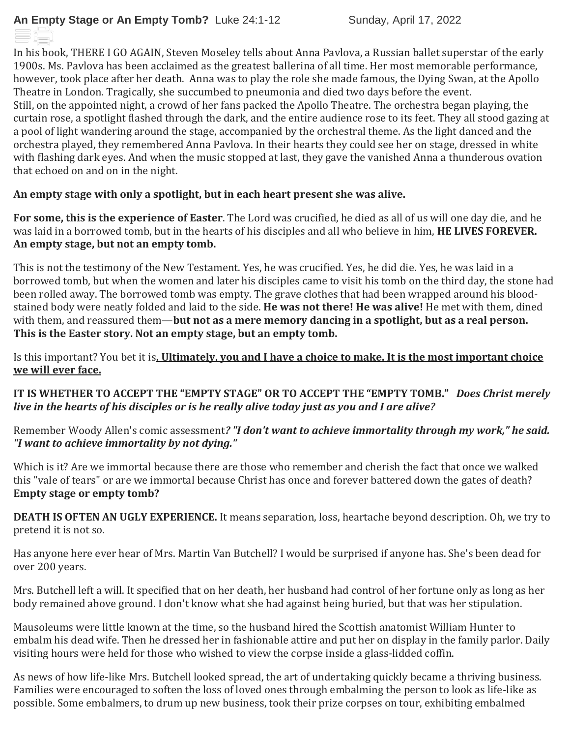In his book, THERE I GO AGAIN, Steven Moseley tells about Anna Pavlova, a Russian ballet superstar of the early 1900s. Ms. Pavlova has been acclaimed as the greatest ballerina of all time. Her most memorable performance, however, took place after her death. Anna was to play the role she made famous, the Dying Swan, at the Apollo Theatre in London. Tragically, she succumbed to pneumonia and died two days before the event. Still, on the appointed night, a crowd of her fans packed the Apollo Theatre. The orchestra began playing, the curtain rose, a spotlight flashed through the dark, and the entire audience rose to its feet. They all stood gazing at a pool of light wandering around the stage, accompanied by the orchestral theme. As the light danced and the orchestra played, they remembered Anna Pavlova. In their hearts they could see her on stage, dressed in white with flashing dark eyes. And when the music stopped at last, they gave the vanished Anna a thunderous ovation that echoed on and on in the night.

## **An empty stage with only a spotlight, but in each heart present she was alive.**

**For some, this is the experience of Easter**. The Lord was crucified, he died as all of us will one day die, and he was laid in a borrowed tomb, but in the hearts of his disciples and all who believe in him, **HE LIVES FOREVER. An empty stage, but not an empty tomb.**

This is not the testimony of the New Testament. Yes, he was crucified. Yes, he did die. Yes, he was laid in a borrowed tomb, but when the women and later his disciples came to visit his tomb on the third day, the stone had been rolled away. The borrowed tomb was empty. The grave clothes that had been wrapped around his bloodstained body were neatly folded and laid to the side. **He was not there! He was alive!** He met with them, dined with them, and reassured them—**but not as a mere memory dancing in a spotlight, but as a real person. This is the Easter story. Not an empty stage, but an empty tomb.**

## Is this important? You bet it is**. Ultimately, you and I have a choice to make. It is the most important choice we will ever face.**

**IT IS WHETHER TO ACCEPT THE "EMPTY STAGE" OR TO ACCEPT THE "EMPTY TOMB."** *Does Christ merely live in the hearts of his disciples or is he really alive today just as you and I are alive?*

Remember Woody Allen's comic assessment*? "I don't want to achieve immortality through my work," he said. "I want to achieve immortality by not dying."*

Which is it? Are we immortal because there are those who remember and cherish the fact that once we walked this "vale of tears" or are we immortal because Christ has once and forever battered down the gates of death? **Empty stage or empty tomb?**

**DEATH IS OFTEN AN UGLY EXPERIENCE.** It means separation, loss, heartache beyond description. Oh, we try to pretend it is not so.

Has anyone here ever hear of Mrs. Martin Van Butchell? I would be surprised if anyone has. She's been dead for over 200 years.

Mrs. Butchell left a will. It specified that on her death, her husband had control of her fortune only as long as her body remained above ground. I don't know what she had against being buried, but that was her stipulation.

Mausoleums were little known at the time, so the husband hired the Scottish anatomist William Hunter to embalm his dead wife. Then he dressed her in fashionable attire and put her on display in the family parlor. Daily visiting hours were held for those who wished to view the corpse inside a glass-lidded coffin.

As news of how life-like Mrs. Butchell looked spread, the art of undertaking quickly became a thriving business. Families were encouraged to soften the loss of loved ones through embalming the person to look as life-like as possible. Some embalmers, to drum up new business, took their prize corpses on tour, exhibiting embalmed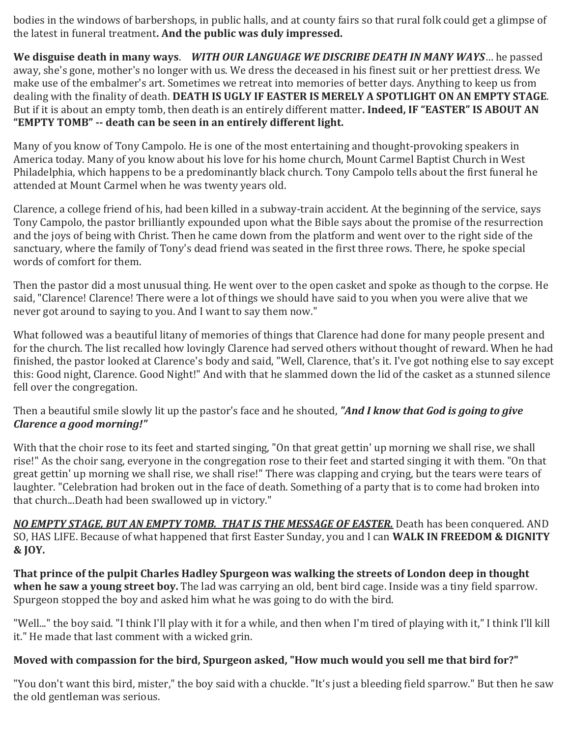bodies in the windows of barbershops, in public halls, and at county fairs so that rural folk could get a glimpse of the latest in funeral treatment**. And the public was duly impressed.**

**We disguise death in many ways**. *WITH OUR LANGUAGE WE DISCRIBE DEATH IN MANY WAYS*… he passed away, she's gone, mother's no longer with us. We dress the deceased in his finest suit or her prettiest dress. We make use of the embalmer's art. Sometimes we retreat into memories of better days. Anything to keep us from dealing with the finality of death. **DEATH IS UGLY IF EASTER IS MERELY A SPOTLIGHT ON AN EMPTY STAGE**. But if it is about an empty tomb, then death is an entirely different matter**. Indeed, IF "EASTER" IS ABOUT AN "EMPTY TOMB" -- death can be seen in an entirely different light.**

Many of you know of Tony Campolo. He is one of the most entertaining and thought-provoking speakers in America today. Many of you know about his love for his home church, Mount Carmel Baptist Church in West Philadelphia, which happens to be a predominantly black church. Tony Campolo tells about the first funeral he attended at Mount Carmel when he was twenty years old.

Clarence, a college friend of his, had been killed in a subway-train accident. At the beginning of the service, says Tony Campolo, the pastor brilliantly expounded upon what the Bible says about the promise of the resurrection and the joys of being with Christ. Then he came down from the platform and went over to the right side of the sanctuary, where the family of Tony's dead friend was seated in the first three rows. There, he spoke special words of comfort for them.

Then the pastor did a most unusual thing. He went over to the open casket and spoke as though to the corpse. He said, "Clarence! Clarence! There were a lot of things we should have said to you when you were alive that we never got around to saying to you. And I want to say them now."

What followed was a beautiful litany of memories of things that Clarence had done for many people present and for the church. The list recalled how lovingly Clarence had served others without thought of reward. When he had finished, the pastor looked at Clarence's body and said, "Well, Clarence, that's it. I've got nothing else to say except this: Good night, Clarence. Good Night!" And with that he slammed down the lid of the casket as a stunned silence fell over the congregation.

Then a beautiful smile slowly lit up the pastor's face and he shouted, *"And I know that God is going to give Clarence a good morning!"*

With that the choir rose to its feet and started singing, "On that great gettin' up morning we shall rise, we shall rise!" As the choir sang, everyone in the congregation rose to their feet and started singing it with them. "On that great gettin' up morning we shall rise, we shall rise!" There was clapping and crying, but the tears were tears of laughter. "Celebration had broken out in the face of death. Something of a party that is to come had broken into that church...Death had been swallowed up in victory."

*NO EMPTY STAGE, BUT AN EMPTY TOMB. THAT IS THE MESSAGE OF EASTER.* Death has been conquered. AND SO, HAS LIFE. Because of what happened that first Easter Sunday, you and I can **WALK IN FREEDOM & DIGNITY & JOY.** 

**That prince of the pulpit Charles Hadley Spurgeon was walking the streets of London deep in thought when he saw a young street boy.** The lad was carrying an old, bent bird cage. Inside was a tiny field sparrow. Spurgeon stopped the boy and asked him what he was going to do with the bird.

"Well..." the boy said. "I think I'll play with it for a while, and then when I'm tired of playing with it," I think I'll kill it." He made that last comment with a wicked grin.

# **Moved with compassion for the bird, Spurgeon asked, "How much would you sell me that bird for?"**

"You don't want this bird, mister," the boy said with a chuckle. "It's just a bleeding field sparrow." But then he saw the old gentleman was serious.